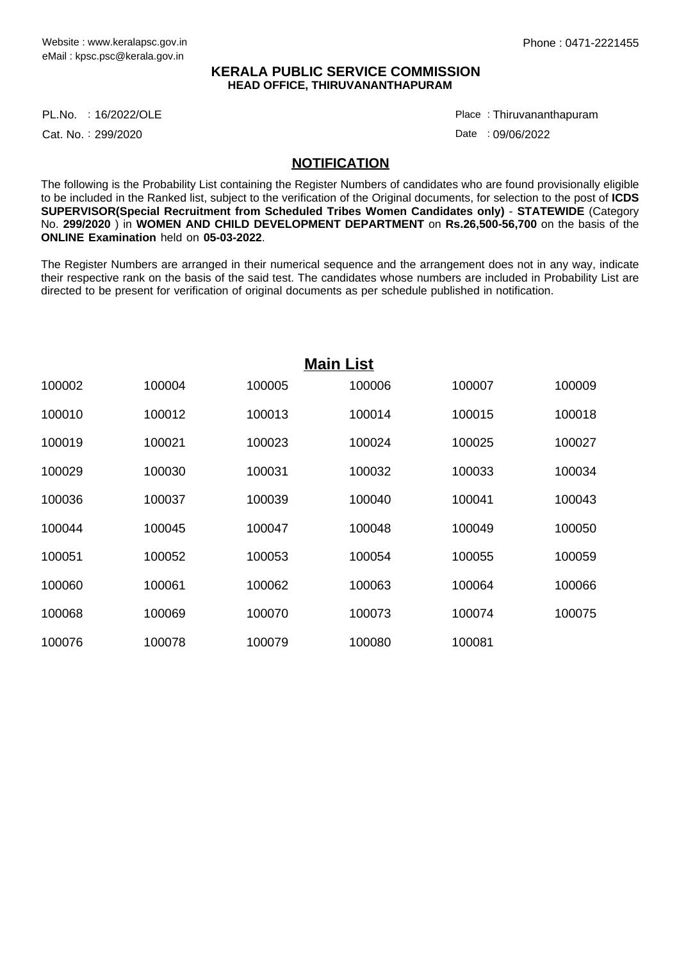## **KERALA PUBLIC SERVICE COMMISSION HEAD OFFICE, THIRUVANANTHAPURAM**

16/2022/OLE Place : PL.No.

Cat. No.: 299/2020

Thiruvananthapuram :

Date : 09/06/2022

## **NOTIFICATION**

The following is the Probability List containing the Register Numbers of candidates who are found provisionally eligible to be included in the Ranked list, subject to the verification of the Original documents, for selection to the post of **ICDS SUPERVISOR(Special Recruitment from Scheduled Tribes Women Candidates only)** - **STATEWIDE** (Category No. **299/2020** ) in **WOMEN AND CHILD DEVELOPMENT DEPARTMENT** on **Rs.26,500-56,700** on the basis of the **ONLINE Examination** held on **05-03-2022**.

The Register Numbers are arranged in their numerical sequence and the arrangement does not in any way, indicate their respective rank on the basis of the said test. The candidates whose numbers are included in Probability List are directed to be present for verification of original documents as per schedule published in notification.

| <b>Main List</b> |        |        |        |        |        |
|------------------|--------|--------|--------|--------|--------|
| 100002           | 100004 | 100005 | 100006 | 100007 | 100009 |
| 100010           | 100012 | 100013 | 100014 | 100015 | 100018 |
| 100019           | 100021 | 100023 | 100024 | 100025 | 100027 |
| 100029           | 100030 | 100031 | 100032 | 100033 | 100034 |
| 100036           | 100037 | 100039 | 100040 | 100041 | 100043 |
| 100044           | 100045 | 100047 | 100048 | 100049 | 100050 |
| 100051           | 100052 | 100053 | 100054 | 100055 | 100059 |
| 100060           | 100061 | 100062 | 100063 | 100064 | 100066 |
| 100068           | 100069 | 100070 | 100073 | 100074 | 100075 |
| 100076           | 100078 | 100079 | 100080 | 100081 |        |